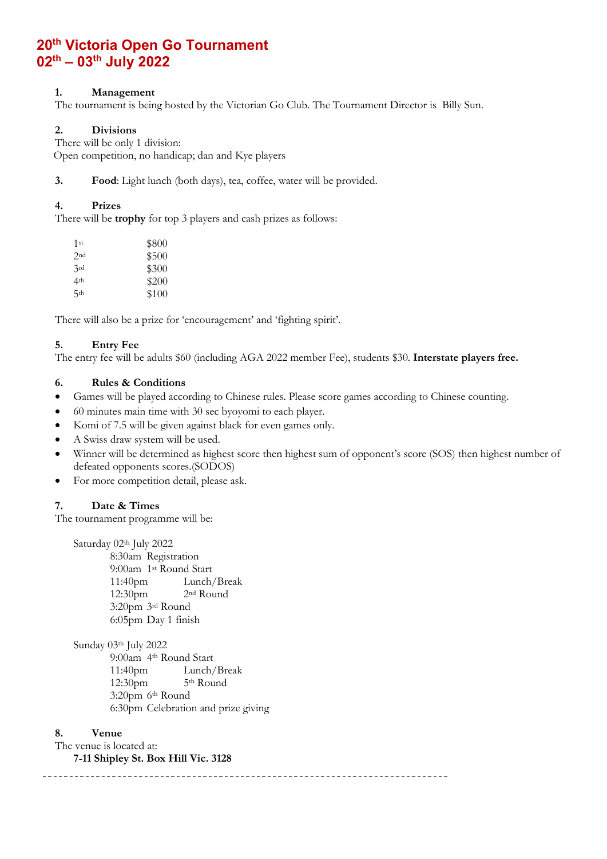# **20th Victoria Open Go Tournament 02 th – 03th July 2022**

## **1. Management**

The tournament is being hosted by the Victorian Go Club. The Tournament Director is Billy Sun.

# **2. Divisions**

There will be only 1 division: Open competition, no handicap; dan and Kye players

**3. Food**: Light lunch (both days), tea, coffee, water will be provided.

## **4. Prizes**

There will be **trophy** for top 3 players and cash prizes as follows:

| 1st             | \$800 |
|-----------------|-------|
| 2nd             | \$500 |
| 3rd             | \$300 |
| 4 <sup>th</sup> | \$200 |
| 5th             | \$100 |

There will also be a prize for 'encouragement' and 'fighting spirit'.

#### **5. Entry Fee**

The entry fee will be adults \$60 (including AGA 2022 member Fee), students \$30. **Interstate players free.**

#### **6. Rules & Conditions**

• Games will be played according to Chinese rules. Please score games according to Chinese counting.

- 60 minutes main time with 30 sec byoyomi to each player.
- Komi of 7.5 will be given against black for even games only.
- A Swiss draw system will be used.
- Winner will be determined as highest score then highest sum of opponent's score (SOS) then highest number of defeated opponents scores.(SODOS)
- For more competition detail, please ask.

#### **7. Date & Times**

The tournament programme will be:

Saturday 02th July 2022 8:30am Registration 9:00am 1st Round Start 11:40pm Lunch/Break 12:30pm 2nd Round 3:20pm 3rd Round 6:05pm Day 1 finish

Sunday 03th July 2022 9:00am 4th Round Start 11:40pm Lunch/Break 12:30pm 5th Round 3:20pm 6th Round 6:30pm Celebration and prize giving

#### **8. Venue**

The venue is located at:

**7-11 Shipley St. Box Hill Vic. 3128**